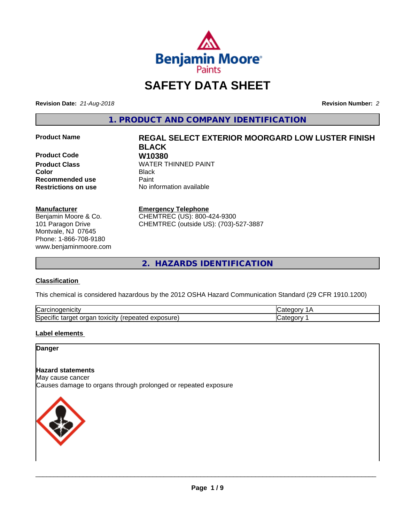

# **SAFETY DATA SHEET**

**Revision Date:** *21-Aug-2018* **Revision Number:** *2*

**1. PRODUCT AND COMPANY IDENTIFICATION**

**Product Code W10380 Recommended use Caint** 

#### **Manufacturer**

Benjamin Moore & Co. 101 Paragon Drive Montvale, NJ 07645 Phone: 1-866-708-9180 www.benjaminmoore.com

# **Product Name REGAL SELECT EXTERIOR MOORGARD LOW LUSTER FINISH BLACK WATER THINNED PAINT**

**Color** Black **Restrictions on use** No information available

**Emergency Telephone**

CHEMTREC (US): 800-424-9300 CHEMTREC (outside US): (703)-527-3887

**2. HAZARDS IDENTIFICATION**

# **Classification**

This chemical is considered hazardous by the 2012 OSHA Hazard Communication Standard (29 CFR 1910.1200)

| ∽<br>.<br>Nd                                                       |  |
|--------------------------------------------------------------------|--|
| הו<br>osure<br>⊿vr<br><br>'N⊢.<br>∋xr no<br>aaneo<br>⊶<br>$\ldots$ |  |

# **Label elements**

### **Danger**

# **Hazard statements**

May cause cancer Causes damage to organs through prolonged or repeated exposure

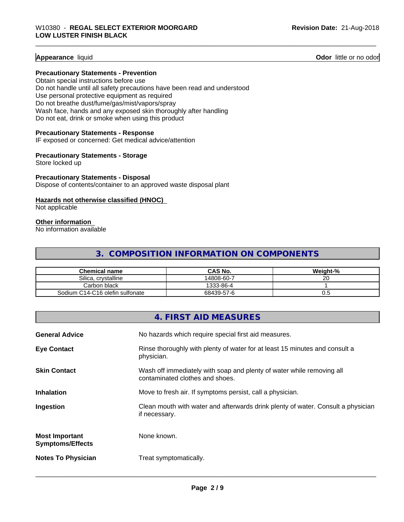#### **Appearance** liquid **Contract Contract Contract Contract Contract Contract Contract Contract Contract Contract Contract Contract Contract Contract Contract Contract Contract Contract Contract Contract Contract Contract Con**

#### **Precautionary Statements - Prevention**

Obtain special instructions before use Do not handle until all safety precautions have been read and understood Use personal protective equipment as required Do not breathe dust/fume/gas/mist/vapors/spray Wash face, hands and any exposed skin thoroughly after handling Do not eat, drink or smoke when using this product

#### **Precautionary Statements - Response**

IF exposed or concerned: Get medical advice/attention

#### **Precautionary Statements - Storage**

Store locked up

#### **Precautionary Statements - Disposal**

Dispose of contents/container to an approved waste disposal plant

#### **Hazards not otherwise classified (HNOC)**

Not applicable

#### **Other information**

No information available

# **3. COMPOSITION INFORMATION ON COMPONENTS**

| <b>Chemical name</b>            | <b>CAS No.</b> | Weight-% |
|---------------------------------|----------------|----------|
| Silica.<br>. crvstalline        | 14808-60-7     | ~~<br>∠∪ |
| Carbon black                    | 1333-86-4      |          |
| Sodium C14-C16 olefin sulfonate | 68439-57-6     | v.u      |

|                                                  | 4. FIRST AID MEASURES                                                                                    |
|--------------------------------------------------|----------------------------------------------------------------------------------------------------------|
| <b>General Advice</b>                            | No hazards which require special first aid measures.                                                     |
| <b>Eye Contact</b>                               | Rinse thoroughly with plenty of water for at least 15 minutes and consult a<br>physician.                |
| <b>Skin Contact</b>                              | Wash off immediately with soap and plenty of water while removing all<br>contaminated clothes and shoes. |
| <b>Inhalation</b>                                | Move to fresh air. If symptoms persist, call a physician.                                                |
| Ingestion                                        | Clean mouth with water and afterwards drink plenty of water. Consult a physician<br>if necessary.        |
| <b>Most Important</b><br><b>Symptoms/Effects</b> | None known.                                                                                              |
| <b>Notes To Physician</b>                        | Treat symptomatically.                                                                                   |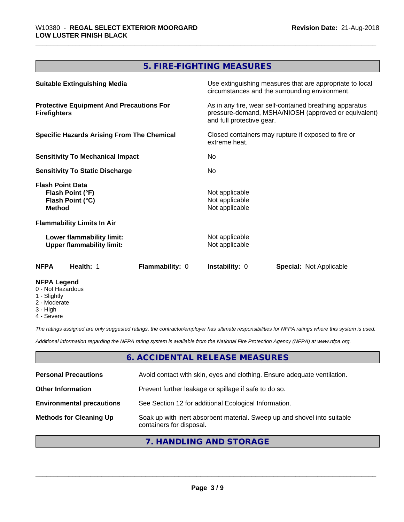# **5. FIRE-FIGHTING MEASURES**

| <b>Suitable Extinguishing Media</b>                                              | Use extinguishing measures that are appropriate to local<br>circumstances and the surrounding environment.                                   |
|----------------------------------------------------------------------------------|----------------------------------------------------------------------------------------------------------------------------------------------|
| <b>Protective Equipment And Precautions For</b><br><b>Firefighters</b>           | As in any fire, wear self-contained breathing apparatus<br>pressure-demand, MSHA/NIOSH (approved or equivalent)<br>and full protective gear. |
| <b>Specific Hazards Arising From The Chemical</b>                                | Closed containers may rupture if exposed to fire or<br>extreme heat.                                                                         |
| <b>Sensitivity To Mechanical Impact</b>                                          | No.                                                                                                                                          |
| <b>Sensitivity To Static Discharge</b>                                           | No.                                                                                                                                          |
| <b>Flash Point Data</b><br>Flash Point (°F)<br>Flash Point (°C)<br><b>Method</b> | Not applicable<br>Not applicable<br>Not applicable                                                                                           |
| <b>Flammability Limits In Air</b>                                                |                                                                                                                                              |
| Lower flammability limit:<br><b>Upper flammability limit:</b>                    | Not applicable<br>Not applicable                                                                                                             |
| <b>Flammability: 0</b><br>NFPA<br>Health: 1                                      | <b>Instability: 0</b><br><b>Special: Not Applicable</b>                                                                                      |
| <b>NFPA Legend</b><br>0 - Not Hazardous<br>1 - Slightly                          |                                                                                                                                              |

- 2 Moderate
- 3 High
- 4 Severe

*The ratings assigned are only suggested ratings, the contractor/employer has ultimate responsibilities for NFPA ratings where this system is used.*

*Additional information regarding the NFPA rating system is available from the National Fire Protection Agency (NFPA) at www.nfpa.org.*

# **6. ACCIDENTAL RELEASE MEASURES**

| <b>Personal Precautions</b>      | Avoid contact with skin, eyes and clothing. Ensure adequate ventilation.                             |
|----------------------------------|------------------------------------------------------------------------------------------------------|
| <b>Other Information</b>         | Prevent further leakage or spillage if safe to do so.                                                |
| <b>Environmental precautions</b> | See Section 12 for additional Ecological Information.                                                |
| <b>Methods for Cleaning Up</b>   | Soak up with inert absorbent material. Sweep up and shovel into suitable<br>containers for disposal. |

# **7. HANDLING AND STORAGE**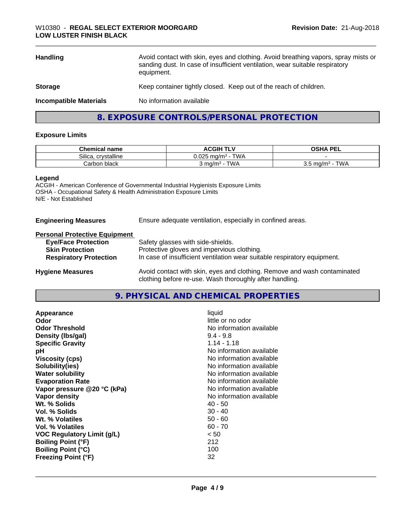| <b>Handling</b>               | Avoid contact with skin, eyes and clothing. Avoid breathing vapors, spray mists or<br>sanding dust. In case of insufficient ventilation, wear suitable respiratory<br>equipment. |
|-------------------------------|----------------------------------------------------------------------------------------------------------------------------------------------------------------------------------|
| <b>Storage</b>                | Keep container tightly closed. Keep out of the reach of children.                                                                                                                |
| <b>Incompatible Materials</b> | No information available                                                                                                                                                         |
|                               | 8. EXPOSURE CONTROLS/PERSONAL PROTECTION                                                                                                                                         |

#### **Exposure Limits**

| <b>Chemical name</b>       | <b>ACGIH TLV</b>                       | <b>PFI</b><br>OSHA<br>--                      |
|----------------------------|----------------------------------------|-----------------------------------------------|
| Silica.<br><br>crvstalline | TWA<br>0.025r<br>∵ma/m~                |                                               |
| Carbon black               | <b>TWA</b><br>ma/m <sup>3</sup><br>чч. | <b>TWA</b><br>ma/m <sup>3</sup><br>ບ.ບ<br>. . |

#### **Legend**

ACGIH - American Conference of Governmental Industrial Hygienists Exposure Limits OSHA - Occupational Safety & Health Administration Exposure Limits N/E - Not Established

**Engineering Measures** Ensure adequate ventilation, especially in confined areas.

clothing before re-use. Wash thoroughly after handling.

#### **Personal Protective Equipment**

| <b>Eye/Face Protection</b>    | Safety glasses with side-shields.                                        |
|-------------------------------|--------------------------------------------------------------------------|
| <b>Skin Protection</b>        | Protective gloves and impervious clothing.                               |
| <b>Respiratory Protection</b> | In case of insufficient ventilation wear suitable respiratory equipment. |
| <b>Hygiene Measures</b>       | Avoid contact with skin, eyes and clothing. Remove and wash contaminated |

**9. PHYSICAL AND CHEMICAL PROPERTIES**

| Appearance                  | liquid                   |
|-----------------------------|--------------------------|
| Odor                        | little or no odor        |
| <b>Odor Threshold</b>       | No information available |
| Density (Ibs/gal)           | $9.4 - 9.8$              |
| <b>Specific Gravity</b>     | $1.14 - 1.18$            |
| рH                          | No information available |
| <b>Viscosity (cps)</b>      | No information available |
| Solubility(ies)             | No information available |
| <b>Water solubility</b>     | No information available |
| <b>Evaporation Rate</b>     | No information available |
| Vapor pressure @20 °C (kPa) | No information available |
| Vapor density               | No information available |
| Wt. % Solids                | $40 - 50$                |
| Vol. % Solids               | $30 - 40$                |
| Wt. % Volatiles             | $50 - 60$                |
| Vol. % Volatiles            | $60 - 70$                |
| VOC Regulatory Limit (g/L)  | < 50                     |
| <b>Boiling Point (°F)</b>   | 212                      |
| <b>Boiling Point (°C)</b>   | 100                      |
| <b>Freezing Point (°F)</b>  | 32                       |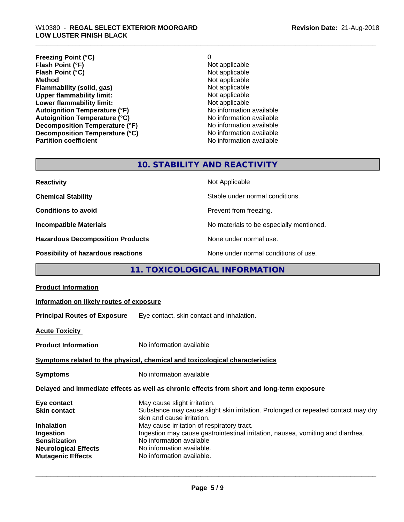#### \_\_\_\_\_\_\_\_\_\_\_\_\_\_\_\_\_\_\_\_\_\_\_\_\_\_\_\_\_\_\_\_\_\_\_\_\_\_\_\_\_\_\_\_\_\_\_\_\_\_\_\_\_\_\_\_\_\_\_\_\_\_\_\_\_\_\_\_\_\_\_\_\_\_\_\_\_\_\_\_\_\_\_\_\_\_\_\_\_\_\_\_\_ W10380 - **REGAL SELECT EXTERIOR MOORGARD LOW LUSTER FINISH BLACK**

| <b>Freezing Point (°C)</b>           | 0                        |
|--------------------------------------|--------------------------|
| Flash Point (°F)                     | Not applicable           |
| Flash Point (°C)                     | Not applicable           |
| <b>Method</b>                        | Not applicable           |
| Flammability (solid, gas)            | Not applicable           |
| <b>Upper flammability limit:</b>     | Not applicable           |
| Lower flammability limit:            | Not applicable           |
| <b>Autoignition Temperature (°F)</b> | No information available |
| <b>Autoignition Temperature (°C)</b> | No information available |
| Decomposition Temperature (°F)       | No information available |
| Decomposition Temperature (°C)       | No information available |
| <b>Partition coefficient</b>         | No information available |

# **10. STABILITY AND REACTIVITY**

| <b>Reactivity</b>                       | Not Applicable                           |
|-----------------------------------------|------------------------------------------|
| <b>Chemical Stability</b>               | Stable under normal conditions.          |
| <b>Conditions to avoid</b>              | Prevent from freezing.                   |
| <b>Incompatible Materials</b>           | No materials to be especially mentioned. |
| <b>Hazardous Decomposition Products</b> | None under normal use.                   |
| Possibility of hazardous reactions      | None under normal conditions of use.     |

# **11. TOXICOLOGICAL INFORMATION**

| <b>Product Information</b>                                                                                                  |                                                                                                                                                                                                                                                                                                                                           |  |
|-----------------------------------------------------------------------------------------------------------------------------|-------------------------------------------------------------------------------------------------------------------------------------------------------------------------------------------------------------------------------------------------------------------------------------------------------------------------------------------|--|
| Information on likely routes of exposure                                                                                    |                                                                                                                                                                                                                                                                                                                                           |  |
|                                                                                                                             | <b>Principal Routes of Exposure</b> Eye contact, skin contact and inhalation.                                                                                                                                                                                                                                                             |  |
| <b>Acute Toxicity</b>                                                                                                       |                                                                                                                                                                                                                                                                                                                                           |  |
| <b>Product Information</b>                                                                                                  | No information available                                                                                                                                                                                                                                                                                                                  |  |
| Symptoms related to the physical, chemical and toxicological characteristics                                                |                                                                                                                                                                                                                                                                                                                                           |  |
| <b>Symptoms</b>                                                                                                             | No information available                                                                                                                                                                                                                                                                                                                  |  |
| Delayed and immediate effects as well as chronic effects from short and long-term exposure                                  |                                                                                                                                                                                                                                                                                                                                           |  |
| Eye contact<br><b>Skin contact</b><br><b>Inhalation</b><br>Ingestion<br><b>Sensitization</b><br><b>Neurological Effects</b> | May cause slight irritation.<br>Substance may cause slight skin irritation. Prolonged or repeated contact may dry<br>skin and cause irritation.<br>May cause irritation of respiratory tract.<br>Ingestion may cause gastrointestinal irritation, nausea, vomiting and diarrhea.<br>No information available<br>No information available. |  |
| <b>Mutagenic Effects</b>                                                                                                    | No information available.                                                                                                                                                                                                                                                                                                                 |  |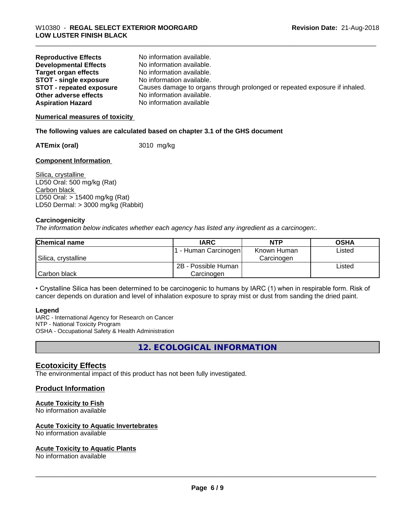| <b>Reproductive Effects</b>     | No information available.                                                  |
|---------------------------------|----------------------------------------------------------------------------|
| <b>Developmental Effects</b>    | No information available.                                                  |
| Target organ effects            | No information available.                                                  |
| <b>STOT - single exposure</b>   | No information available.                                                  |
| <b>STOT - repeated exposure</b> | Causes damage to organs through prolonged or repeated exposure if inhaled. |
| Other adverse effects           | No information available.                                                  |
| <b>Aspiration Hazard</b>        | No information available                                                   |

**Numerical measures of toxicity**

#### **The following values are calculated based on chapter 3.1 of the GHS document**

**ATEmix (oral)** 3010 mg/kg

#### **Component Information**

Silica, crystalline LD50 Oral: 500 mg/kg (Rat) Carbon black LD50 Oral: > 15400 mg/kg (Rat) LD50 Dermal: > 3000 mg/kg (Rabbit)

#### **Carcinogenicity**

*The information below indicateswhether each agency has listed any ingredient as a carcinogen:.*

| <b>Chemical name</b> | <b>IARC</b>          | <b>NTP</b>  | <b>OSHA</b> |
|----------------------|----------------------|-------------|-------------|
|                      | . - Human Carcinogen | Known Human | Listed      |
| Silica, crystalline  |                      | Carcinogen  |             |
|                      | 2B - Possible Human  |             | Listed      |
| Carbon black         | Carcinogen           |             |             |

• Crystalline Silica has been determined to be carcinogenic to humans by IARC (1) when in respirable form. Risk of cancer depends on duration and level of inhalation exposure to spray mist or dust from sanding the dried paint.

#### **Legend**

IARC - International Agency for Research on Cancer NTP - National Toxicity Program OSHA - Occupational Safety & Health Administration

**12. ECOLOGICAL INFORMATION**

# **Ecotoxicity Effects**

The environmental impact of this product has not been fully investigated.

# **Product Information**

#### **Acute Toxicity to Fish**

No information available

#### **Acute Toxicity to Aquatic Invertebrates**

No information available

#### **Acute Toxicity to Aquatic Plants**

No information available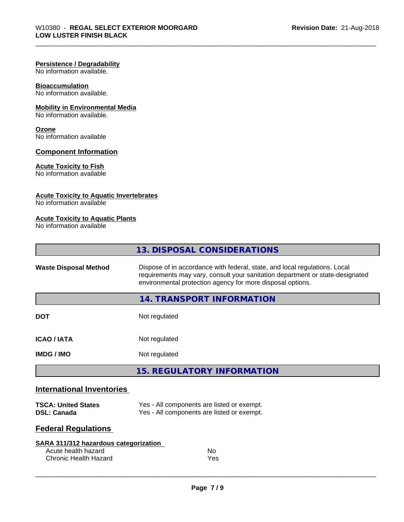#### **Persistence / Degradability**

No information available.

# **Bioaccumulation**

No information available.

# **Mobility in Environmental Media**

No information available.

# **Ozone**

No information available

### **Component Information**

#### **Acute Toxicity to Fish**

No information available

### **Acute Toxicity to Aquatic Invertebrates**

No information available

### **Acute Toxicity to Aquatic Plants**

No information available

|                                  | 13. DISPOSAL CONSIDERATIONS                                                                                                                                                                                               |
|----------------------------------|---------------------------------------------------------------------------------------------------------------------------------------------------------------------------------------------------------------------------|
| <b>Waste Disposal Method</b>     | Dispose of in accordance with federal, state, and local regulations. Local<br>requirements may vary, consult your sanitation department or state-designated<br>environmental protection agency for more disposal options. |
|                                  | 14. TRANSPORT INFORMATION                                                                                                                                                                                                 |
| <b>DOT</b>                       | Not regulated                                                                                                                                                                                                             |
| <b>ICAO / IATA</b>               | Not regulated                                                                                                                                                                                                             |
| <b>IMDG / IMO</b>                | Not regulated                                                                                                                                                                                                             |
|                                  | <b>15. REGULATORY INFORMATION</b>                                                                                                                                                                                         |
| <b>International Inventories</b> |                                                                                                                                                                                                                           |
| <b>TSCA: United States</b>       | Yes - All components are listed or exempt.                                                                                                                                                                                |

# **Federal Regulations**

| SARA 311/312 hazardous categorization |     |  |
|---------------------------------------|-----|--|
| Acute health hazard                   | No  |  |
| Chronic Health Hazard                 | Yes |  |

**DSL: Canada** Yes - All components are listed or exempt.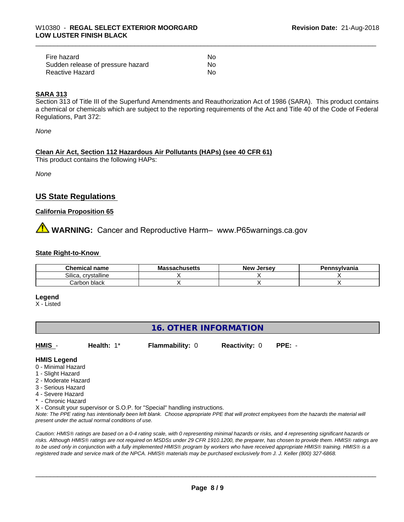| Fire hazard                       | Nο |  |
|-----------------------------------|----|--|
| Sudden release of pressure hazard | No |  |
| Reactive Hazard                   | Nο |  |

### **SARA 313**

Section 313 of Title III of the Superfund Amendments and Reauthorization Act of 1986 (SARA). This product contains a chemical or chemicals which are subject to the reporting requirements of the Act and Title 40 of the Code of Federal Regulations, Part 372:

*None*

### **Clean Air Act,Section 112 Hazardous Air Pollutants (HAPs) (see 40 CFR 61)**

This product contains the following HAPs:

*None*

# **US State Regulations**

#### **California Proposition 65**

**WARNING:** Cancer and Reproductive Harm– www.P65warnings.ca.gov

#### **State Right-to-Know**

| <b>Chemical name</b>  | ssachusetts<br>$\sim$<br>ма | . Jersev<br><b>New</b> | <b>`nsvivania</b> |
|-----------------------|-----------------------------|------------------------|-------------------|
| Silica<br>crystalline |                             |                        |                   |
| black<br>∟arbor       |                             |                        |                   |

#### **Legend**

X - Listed

# **16. OTHER INFORMATION**

**HMIS** - **Health:** 1\* **Flammability:** 0 **Reactivity:** 0 **PPE:** -

**HMIS Legend**

- 0 Minimal Hazard
- 1 Slight Hazard
- 2 Moderate Hazard
- 3 Serious Hazard
- 4 Severe Hazard
- Chronic Hazard

X - Consult your supervisor or S.O.P. for "Special" handling instructions.

*Note: The PPE rating has intentionally been left blank. Choose appropriate PPE that will protect employees from the hazards the material will present under the actual normal conditions of use.*

*Caution: HMISÒ ratings are based on a 0-4 rating scale, with 0 representing minimal hazards or risks, and 4 representing significant hazards or risks. Although HMISÒ ratings are not required on MSDSs under 29 CFR 1910.1200, the preparer, has chosen to provide them. HMISÒ ratings are to be used only in conjunction with a fully implemented HMISÒ program by workers who have received appropriate HMISÒ training. HMISÒ is a registered trade and service mark of the NPCA. HMISÒ materials may be purchased exclusively from J. J. Keller (800) 327-6868.*